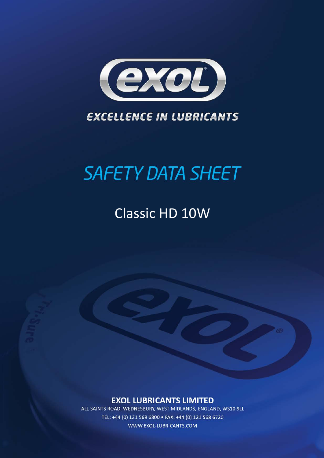

### **EXCELLENCE IN LUBRICANTS**

# **SAFETY DATA SHEET**

### **Classic HD 10W**

### **EXOL LUBRICANTS LIMITED**

ALL SAINTS ROAD, WEDNESBURY, WEST MIDLANDS, ENGLAND, WS10 9LL TEL: +44 (0) 121 568 6800 · FAX: +44 (0) 121 568 6720 WWW.EXOL-LUBRICANTS.COM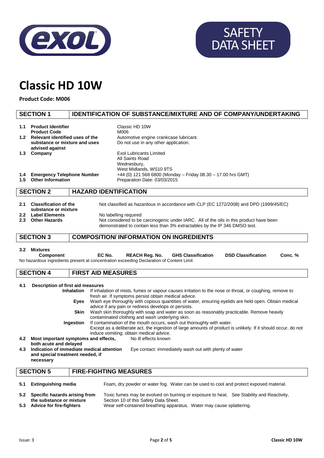

### **Classic HD 10W**

**Product Code: M006**

#### **SECTION 1 IDENTIFICATION OF SUBSTANCE/MIXTURE AND OF COMPANY/UNDERTAKING**

| 1.1                                                                                     | <b>Product Identifier</b><br><b>Product Code</b> | Classic HD 10W<br>M006                                                               |
|-----------------------------------------------------------------------------------------|--------------------------------------------------|--------------------------------------------------------------------------------------|
| 1.2 Relevant identified uses of the<br>substance or mixture and uses<br>advised against |                                                  | Automotive engine crankcase lubricant.<br>Do not use in any other application.       |
| 1.3                                                                                     | Company                                          | Exol Lubricants Limited<br>All Saints Road<br>Wednesbury,<br>West Midlands, WS10 9TS |
|                                                                                         | 1.4 Emergency Telephone Number                   | +44 (0) 121 568 6800 (Monday – Friday 08.30 – 17.00 hrs GMT)                         |
|                                                                                         | 1.5 Other Information                            | Preparation Date: 03/03/2015                                                         |
| <b>SECTION 2</b><br><b>HAZARD IDENTIFICATION</b>                                        |                                                  |                                                                                      |

#### **2.1 Classification of the**  Not classified as hazardous in accordance with CLP (EC 1272/2008) and DPD (1999/45/EC)

- **substance or mixture**
- 

**2.2 Label Elements** No labelling required<br> **2.3 Other Hazards** Not considered to be Not considered to be carcinogenic under IARC. All of the oils in this product have been demonstrated to contain less than 3% extractables by the IP 346 DMSO test.

#### **SECTION 3 COMPOSITION/ INFORMATION ON INGREDIENTS**

**3.2 Mixtures Component EC No. REACH Reg. No. GHS Classification DSD Classification Conc. %** No hazardous ingredients present at concentration exceeding Declaration of Content Limit

#### **SECTION 4 FIRST AID MEASURES**

| 4.1 | Description of first aid measures                                                              |                                                                                                                                                                     |  |  |
|-----|------------------------------------------------------------------------------------------------|---------------------------------------------------------------------------------------------------------------------------------------------------------------------|--|--|
|     | <b>Inhalation</b>                                                                              | If inhalation of mists, fumes or vapour causes irritation to the nose or throat, or coughing, remove to                                                             |  |  |
|     |                                                                                                | fresh air. If symptoms persist obtain medical advice.                                                                                                               |  |  |
|     |                                                                                                | Wash eye thoroughly with copious quantities of water, ensuring eyelids are held open. Obtain medical<br>Eyes<br>advice if any pain or redness develops or persists. |  |  |
|     |                                                                                                | Wash skin thoroughly with soap and water as soon as reasonably practicable. Remove heavily<br>Skin<br>contaminated clothing and wash underlying skin.               |  |  |
|     | Ingestion                                                                                      | If contamination of the mouth occurs, wash out thoroughly with water.                                                                                               |  |  |
|     |                                                                                                | Except as a deliberate act, the ingestion of large amounts of product is unlikely. If it should occur, do not<br>induce vomiting; obtain medical advice.            |  |  |
| 4.2 | Most important symptoms and effects,                                                           | No ill effects known                                                                                                                                                |  |  |
|     | both acute and delayed                                                                         |                                                                                                                                                                     |  |  |
|     | 4.3 Indication of immediate medical attention<br>and special treatment needed, if<br>necessary | Eye contact: immediately wash out with plenty of water                                                                                                              |  |  |
|     | <b>SECTION 5</b>                                                                               | <b>FIRE-FIGHTING MEASURES</b>                                                                                                                                       |  |  |
| 5.1 | <b>Extinguishing media</b>                                                                     | Foam, dry powder or water fog. Water can be used to cool and protect exposed material.                                                                              |  |  |

**5.2 Specific hazards arising from the substance or mixture** Toxic fumes may be evolved on burning or exposure to heat. See Stability and Reactivity, Section 10 of this Safety Data Sheet. **5.3 Advice for fire-fighters** Wear self-contained breathing apparatus. Water may cause splattering.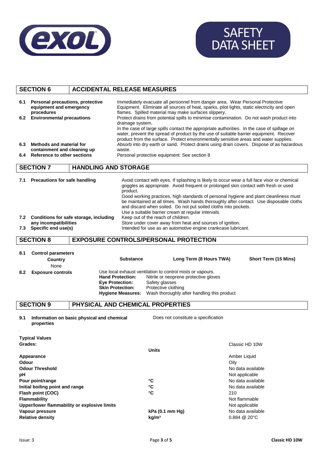

#### **SECTION 6 ACCIDENTAL RELEASE MEASURES**

| 6.1 | Personal precautions, protective<br>equipment and emergency<br>procedures | Immediately evacuate all personnel from danger area. Wear Personal Protective<br>Equipment. Eliminate all sources of heat, sparks, pilot lights, static electricity and open<br>flames. Spilled material may make surfaces slippery.                                           |
|-----|---------------------------------------------------------------------------|--------------------------------------------------------------------------------------------------------------------------------------------------------------------------------------------------------------------------------------------------------------------------------|
| 6.2 | <b>Environmental precautions</b>                                          | Protect drains from potential spills to minimise contamination. Do not wash product into<br>drainage system.                                                                                                                                                                   |
|     |                                                                           | In the case of large spills contact the appropriate authorities. In the case of spillage on<br>water, prevent the spread of product by the use of suitable barrier equipment. Recover<br>product from the surface. Protect environmentally sensitive areas and water supplies. |
| 6.3 | Methods and material for<br>containment and cleaning up                   | Absorb into dry earth or sand. Protect drains using drain covers. Dispose of as hazardous<br>waste.                                                                                                                                                                            |
| 6.4 | Reference to other sections                                               | Personal protective equipment: See section 8                                                                                                                                                                                                                                   |

### **SECTION 7 HANDLING AND STORAGE**

| 7.1        | <b>Precautions for safe handling</b>                                                   | Avoid contact with eyes. If splashing is likely to occur wear a full face visor or chemical<br>goggles as appropriate. Avoid frequent or prolonged skin contact with fresh or used<br>product.<br>Good working practices, high standards of personal hygiene and plant cleanliness must<br>be maintained at all times. Wash hands thoroughly after contact. Use disposable cloths<br>and discard when soiled. Do not put soiled cloths into pockets.<br>Use a suitable barrier cream at regular intervals. |
|------------|----------------------------------------------------------------------------------------|------------------------------------------------------------------------------------------------------------------------------------------------------------------------------------------------------------------------------------------------------------------------------------------------------------------------------------------------------------------------------------------------------------------------------------------------------------------------------------------------------------|
| 7.2<br>7.3 | Conditions for safe storage, including<br>any incompatibilities<br>Specific end use(s) | Keep out of the reach of children.<br>Store under cover away from heat and sources of ignition.<br>Intended for use as an automotive engine crankcase lubricant.                                                                                                                                                                                                                                                                                                                                           |

#### **SECTION 8 EXPOSURE CONTROLS/PERSONAL PROTECTION**

| 8.1 | <b>Control parameters</b><br>Country<br>None | <b>Substance</b>                                                                                         | Long Term (8 Hours TWA)                                                                                                                                                                     | Short Term (15 Mins) |
|-----|----------------------------------------------|----------------------------------------------------------------------------------------------------------|---------------------------------------------------------------------------------------------------------------------------------------------------------------------------------------------|----------------------|
| 8.2 | <b>Exposure controls</b>                     | <b>Hand Protection:</b><br><b>Eve Protection:</b><br><b>Skin Protection:</b><br><b>Hygiene Measures:</b> | Use local exhaust ventilation to control mists or vapours.<br>Nitrile or neoprene protective gloves<br>Safety glasses<br>Protective clothing<br>Wash thoroughly after handling this product |                      |
|     | <b>CECTION 0</b>                             | <b>DUVEICAL AND CUEMICAL DRODEDTIES</b>                                                                  |                                                                                                                                                                                             |                      |

#### **SECTION 9 PHYSICAL AND CHEMICAL PROPERTIES**

| 9.1                    | Information on basic physical and chemical<br>properties | Does not constitute a specification |                           |
|------------------------|----------------------------------------------------------|-------------------------------------|---------------------------|
|                        | <b>Typical Values</b>                                    |                                     |                           |
| Grades:                |                                                          |                                     | Classic HD 10W            |
|                        |                                                          | <b>Units</b>                        |                           |
|                        | Appearance                                               |                                     | Amber Liquid              |
| Odour                  |                                                          |                                     | Oilv                      |
| <b>Odour Threshold</b> |                                                          |                                     | No data available         |
| рH                     |                                                          |                                     | Not applicable            |
|                        | Pour point/range                                         | °C                                  | No data available         |
|                        | Initial boiling point and range                          | °C                                  | No data available         |
| Flash point (COC)      |                                                          | °C                                  | 210                       |
|                        | <b>Flammability</b>                                      |                                     | Not flammable             |
|                        | Upper/lower flammability or explosive limits             |                                     | Not applicable            |
| Vapour pressure        |                                                          | $kPa$ (0.1 mm Hg)                   | No data available         |
|                        | <b>Relative density</b>                                  | kg/m <sup>3</sup>                   | $0.884 \ @ \ 20^{\circ}C$ |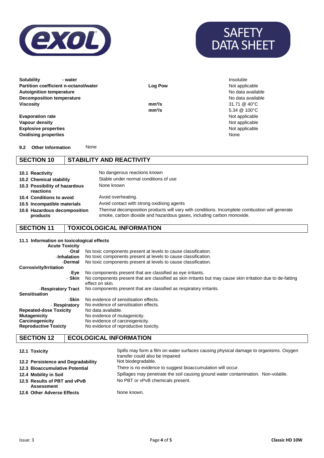

**Solubility - water** Insoluble **Partition coefficient n-octanol/water Log Pow Log Pow** Not applicable **Autoignition temperature Autoignition temperature** and the state of the state of the state available of the state of the state of the state of the state of the state of the state of the state of the state of the state o **Decomposition temperature No data available**<br> **Viscosity No data available**<br> **Viscosity 11.71** @ 40°C **Viscosity mm²/s** 31.71 @ 40°C

Evaporation rate<br> **Evaporation rate** Not applicable<br> **Evapour density** Not applicable **Vapour density**<br> **Vapour density**<br> **Explosive properties**<br>
Not applicable **Explosive properties Oxidising properties** None

**mm²/s** 5.34 @ 100°C

**9.2 Other Information** None

#### **SECTION 10 STABILITY AND REACTIVITY**

|                                                                                                     | 10.1 Reactivity<br>10.2 Chemical stability<br>10.3 Possibility of hazardous<br>reactions | No dangerous reactions known<br>Stable under normal conditions of use<br>None known                                                                                                                                                        |
|-----------------------------------------------------------------------------------------------------|------------------------------------------------------------------------------------------|--------------------------------------------------------------------------------------------------------------------------------------------------------------------------------------------------------------------------------------------|
| 10.4 Conditions to avoid<br>10.5 Incompatible materials<br>10.6 Hazardous decomposition<br>products |                                                                                          | Avoid overheating.<br>Avoid contact with strong oxidising agents<br>Thermal decomposition products will vary with conditions. Incomplete combustion will generate<br>smoke, carbon dioxide and hazardous gases, including carbon monoxide. |
|                                                                                                     | <b>SECTION 11</b>                                                                        | <b>TOXICOLOGICAL INFORMATION</b>                                                                                                                                                                                                           |

#### **11.1 Information on toxicological effects**

| <b>Acute Toxicity</b>         |                                                                                                                                |  |
|-------------------------------|--------------------------------------------------------------------------------------------------------------------------------|--|
| -Oral                         | No toxic components present at levels to cause classification.                                                                 |  |
| -Inhalation                   | No toxic components present at levels to cause classification.                                                                 |  |
| -Dermal                       | No toxic components present at levels to cause classification.                                                                 |  |
| Corrosivity/Irritation        |                                                                                                                                |  |
| -Eve                          | No components present that are classified as eye irritants.                                                                    |  |
| - Skin                        | No components present that are classified as skin irritants but may cause skin irritation due to de-fatting<br>effect on skin. |  |
| -Respiratory Tract            | No components present that are classified as respiratory irritants.                                                            |  |
| Sensitisation                 |                                                                                                                                |  |
| -Skin                         | No evidence of sensitisation effects.                                                                                          |  |
| - Respiratory                 | No evidence of sensitisation effects.                                                                                          |  |
| <b>Repeated-dose Toxicity</b> | No data available.                                                                                                             |  |
| <b>Mutagenicity</b>           | No evidence of mutagenicity.                                                                                                   |  |
| Carcinogenicity               | No evidence of carcinogenicity.                                                                                                |  |
| <b>Reproductive Toxicty</b>   | No evidence of reproductive toxicity.                                                                                          |  |

#### **SECTION 12 ECOLOGICAL INFORMATION**

#### **12.1 Toxicity** Spills may form a film on water surfaces causing physical damage to organisms. Oxygen transfer could also be impaired **12.2 Persistence and Degradability** Not biodegradable. **12.3 Bioaccumulative Potential** There is no evidence to suggest bioaccumulation will occur. **12.4 Mobility in Soil** Spillages may penetrate the soil causing ground water contamination. Non-volatile. **12.5 Results of PBT and vPvB Assessment** No PBT or vPvB chemicals present. **12.6 Other Adverse Effects** None known.